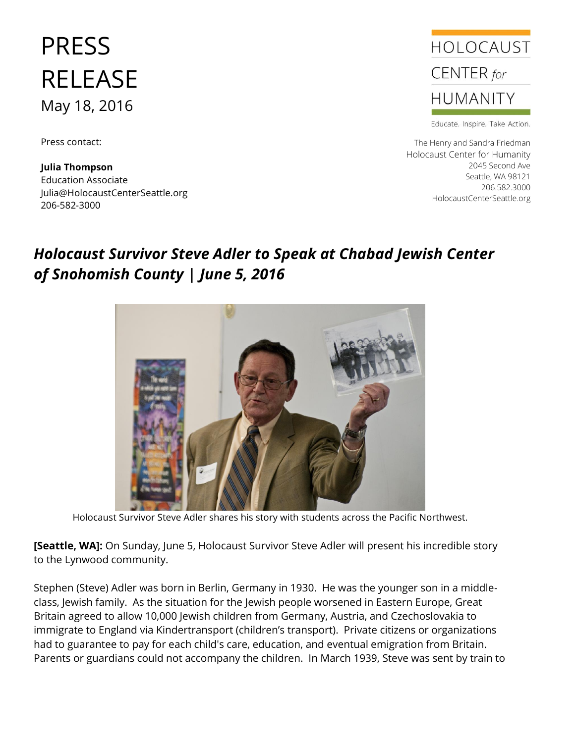## PRESS RELEASE May 18, 2016

Press contact:

**Julia Thompson** Education Associate Julia@HolocaustCenterSeattle.org 206-582-3000



Educate. Inspire. Take Action.

The Henry and Sandra Friedman Holocaust Center for Humanity 2045 Second Ave Seattle, WA 98121 206.582.3000 HolocaustCenterSeattle.org

## *Holocaust Survivor Steve Adler to Speak at Chabad Jewish Center of Snohomish County | June 5, 2016*



Holocaust Survivor Steve Adler shares his story with students across the Pacific Northwest.

**[Seattle, WA]:** On Sunday, June 5, Holocaust Survivor Steve Adler will present his incredible story to the Lynwood community.

Stephen (Steve) Adler was born in Berlin, Germany in 1930. He was the younger son in a middleclass, Jewish family. As the situation for the Jewish people worsened in Eastern Europe, Great Britain agreed to allow 10,000 Jewish children from Germany, Austria, and Czechoslovakia to immigrate to England via Kindertransport (children's transport). Private citizens or organizations had to guarantee to pay for each child's care, education, and eventual emigration from Britain. Parents or guardians could not accompany the children. In March 1939, Steve was sent by train to